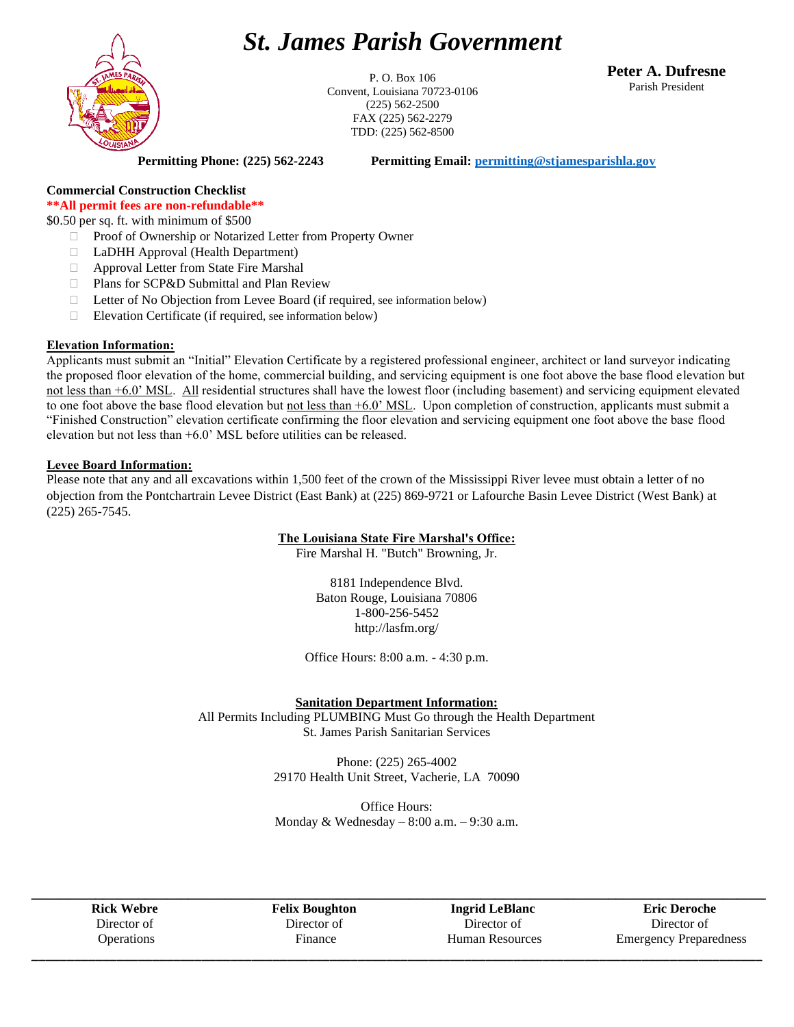# *St. James Parish Government*



P. O. Box 106 Convent, Louisiana 70723-0106 (225) 562-2500 FAX (225) 562-2279 TDD: (225) 562-8500

**Peter A. Dufresne** Parish President

**Permitting Phone: (225) 562-2243 Permitting Email: [permitting@stjamesparishla.gov](mailto:permitting@stjamesparishla.gov)**

# **Commercial Construction Checklist**

**\*\*All permit fees are non-refundable\*\***

\$0.50 per sq. ft. with minimum of \$500

- □ Proof of Ownership or Notarized Letter from Property Owner
- LaDHH Approval (Health Department)
- Approval Letter from State Fire Marshal
- □ Plans for SCP&D Submittal and Plan Review
- Letter of No Objection from Levee Board (if required, see information below)
- $\Box$  Elevation Certificate (if required, see information below)

#### **Elevation Information:**

Applicants must submit an "Initial" Elevation Certificate by a registered professional engineer, architect or land surveyor indicating the proposed floor elevation of the home, commercial building, and servicing equipment is one foot above the base flood elevation but not less than +6.0' MSL. All residential structures shall have the lowest floor (including basement) and servicing equipment elevated to one foot above the base flood elevation but not less than +6.0' MSL. Upon completion of construction, applicants must submit a "Finished Construction" elevation certificate confirming the floor elevation and servicing equipment one foot above the base flood elevation but not less than +6.0' MSL before utilities can be released.

#### **Levee Board Information:**

Please note that any and all excavations within 1,500 feet of the crown of the Mississippi River levee must obtain a letter of no objection from the Pontchartrain Levee District (East Bank) at (225) 869-9721 or Lafourche Basin Levee District (West Bank) at (225) 265-7545.

## **The Louisiana State Fire Marshal's Office:**

Fire Marshal H. "Butch" Browning, Jr.

8181 Independence Blvd. Baton Rouge, Louisiana 70806 1-800-256-5452 http://lasfm.org/

Office Hours: 8:00 a.m. - 4:30 p.m.

## **Sanitation Department Information:**

All Permits Including PLUMBING Must Go through the Health Department St. James Parish Sanitarian Services

> Phone: (225) 265-4002 29170 Health Unit Street, Vacherie, LA 70090

> Office Hours: Monday & Wednesday  $-8:00$  a.m.  $-9:30$  a.m.

**\_\_\_\_\_\_\_\_\_\_\_\_\_\_\_\_\_\_\_\_\_\_\_\_\_\_\_\_\_\_\_\_\_\_\_\_\_\_\_\_\_\_\_\_\_\_\_\_\_\_\_\_\_\_\_\_\_\_\_\_\_\_\_\_\_\_\_\_\_\_\_\_\_\_\_\_\_\_\_\_\_\_\_\_\_\_\_\_\_\_\_\_\_\_\_\_\_\_\_\_\_\_\_ Rick Webre** Director of **Operations** 

**Felix Boughton** Director of Finance

**Ingrid LeBlanc** Director of Human Resources **\_\_\_\_\_\_\_\_\_\_\_\_\_\_\_\_\_\_\_\_\_\_\_\_\_\_\_\_\_\_\_\_\_\_\_\_\_\_\_\_\_\_\_\_\_\_\_\_\_\_\_\_\_\_\_\_\_\_\_\_\_\_\_\_\_\_\_\_\_\_\_\_\_\_\_\_\_\_\_\_\_\_\_\_\_\_\_\_\_\_\_\_\_\_\_\_\_\_\_\_\_\_\_**

**Eric Deroche** Director of Emergency Preparedness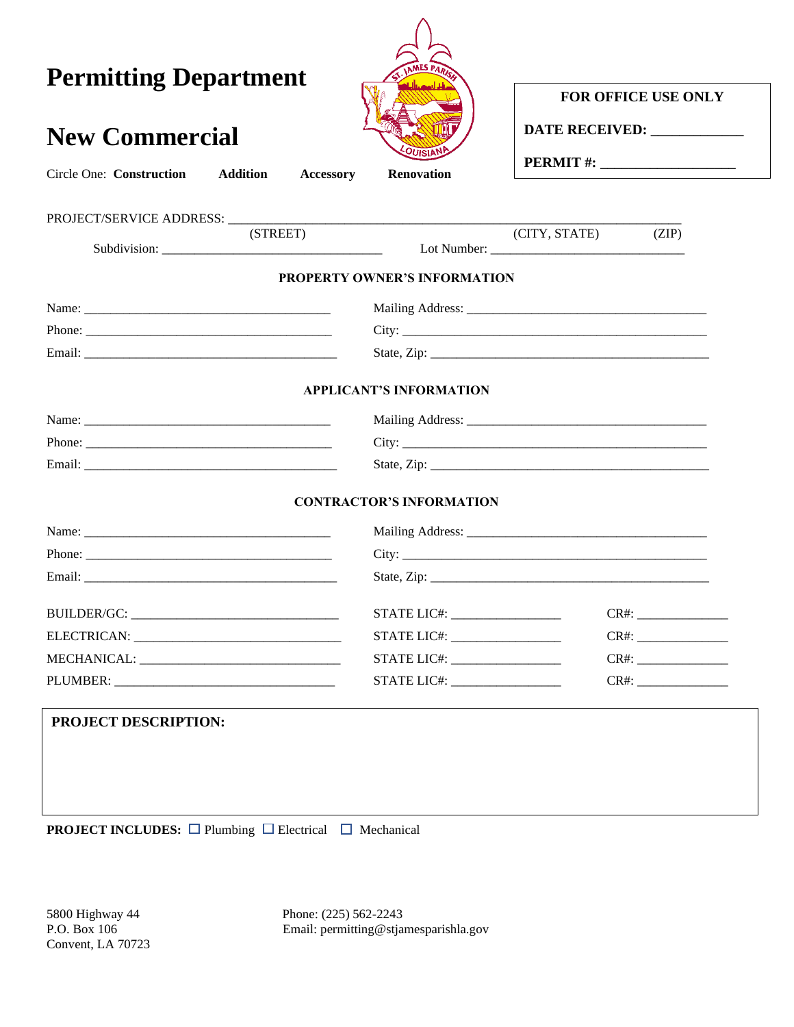| <b>Permitting Department</b>                                    |                                 | FOR OFFICE USE ONLY                     |  |  |
|-----------------------------------------------------------------|---------------------------------|-----------------------------------------|--|--|
| <b>New Commercial</b>                                           |                                 | DATE RECEIVED: _____________            |  |  |
| <b>Addition</b><br><b>Circle One: Construction</b><br>Accessory | Renovation                      | <b>PERMIT #:</b> ______________________ |  |  |
|                                                                 |                                 |                                         |  |  |
| (STREET)                                                        |                                 | (CITY, STATE)<br>(ZIP)                  |  |  |
|                                                                 | PROPERTY OWNER'S INFORMATION    |                                         |  |  |
|                                                                 |                                 |                                         |  |  |
|                                                                 |                                 |                                         |  |  |
|                                                                 |                                 |                                         |  |  |
|                                                                 | <b>APPLICANT'S INFORMATION</b>  |                                         |  |  |
|                                                                 |                                 |                                         |  |  |
|                                                                 |                                 |                                         |  |  |
|                                                                 |                                 |                                         |  |  |
|                                                                 | <b>CONTRACTOR'S INFORMATION</b> |                                         |  |  |
|                                                                 |                                 |                                         |  |  |
|                                                                 |                                 |                                         |  |  |
|                                                                 |                                 |                                         |  |  |
|                                                                 |                                 |                                         |  |  |
|                                                                 |                                 |                                         |  |  |
|                                                                 |                                 | $CR#$ :                                 |  |  |
|                                                                 | STATE LIC#:                     |                                         |  |  |
| PROJECT DESCRIPTION:                                            |                                 |                                         |  |  |
|                                                                 |                                 |                                         |  |  |
|                                                                 |                                 |                                         |  |  |
|                                                                 |                                 |                                         |  |  |
|                                                                 |                                 |                                         |  |  |

5800 Highway 44 Phone: (225) 562-2243<br>P.O. Box 106 Email: permitting @stjar Email: permitting@stjamesparishla.gov